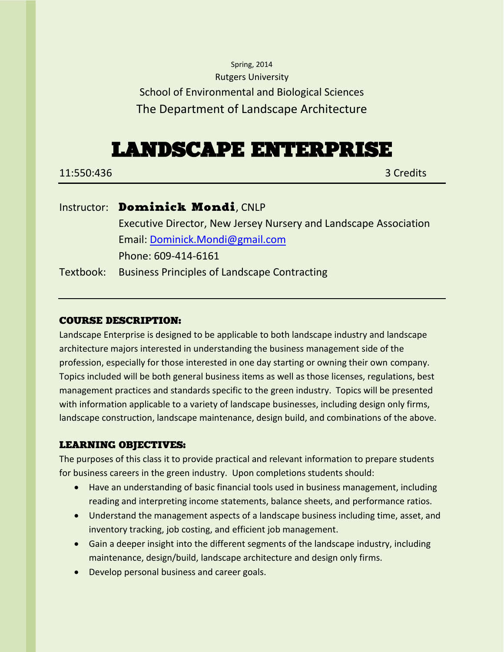## Spring, 2014 Rutgers University School of Environmental and Biological Sciences The Department of Landscape Architecture

# LANDSCAPE ENTERPRISE

11:550:436 3 Credits

## Instructor: Dominick Mondi, CNLP Executive Director, New Jersey Nursery and Landscape Association Email: [Dominick.Mondi@gmail.com](mailto:Dominick.Mondi@gmail.com) Phone: 609-414-6161 Textbook: Business Principles of Landscape Contracting

## COURSE DESCRIPTION:

Landscape Enterprise is designed to be applicable to both landscape industry and landscape architecture majors interested in understanding the business management side of the profession, especially for those interested in one day starting or owning their own company. Topics included will be both general business items as well as those licenses, regulations, best management practices and standards specific to the green industry. Topics will be presented with information applicable to a variety of landscape businesses, including design only firms, landscape construction, landscape maintenance, design build, and combinations of the above.

## LEARNING OBJECTIVES:

The purposes of this class it to provide practical and relevant information to prepare students for business careers in the green industry. Upon completions students should:

- Have an understanding of basic financial tools used in business management, including reading and interpreting income statements, balance sheets, and performance ratios.
- Understand the management aspects of a landscape business including time, asset, and inventory tracking, job costing, and efficient job management.
- Gain a deeper insight into the different segments of the landscape industry, including maintenance, design/build, landscape architecture and design only firms.
- Develop personal business and career goals.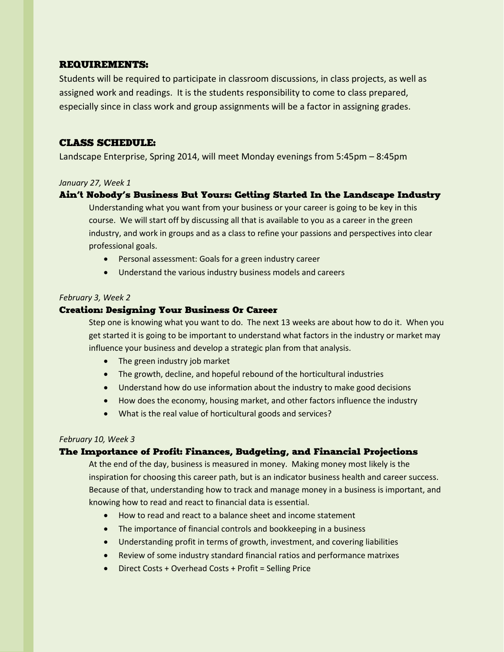## REQUIREMENTS:

Students will be required to participate in classroom discussions, in class projects, as well as assigned work and readings. It is the students responsibility to come to class prepared, especially since in class work and group assignments will be a factor in assigning grades.

## CLASS SCHEDULE:

Landscape Enterprise, Spring 2014, will meet Monday evenings from 5:45pm – 8:45pm

#### *January 27, Week 1*

#### Ain't Nobody's Business But Yours: Getting Started In the Landscape Industry

Understanding what you want from your business or your career is going to be key in this course. We will start off by discussing all that is available to you as a career in the green industry, and work in groups and as a class to refine your passions and perspectives into clear professional goals.

- Personal assessment: Goals for a green industry career
- Understand the various industry business models and careers

#### *February 3, Week 2*

#### Creation: Designing Your Business Or Career

Step one is knowing what you want to do. The next 13 weeks are about how to do it. When you get started it is going to be important to understand what factors in the industry or market may influence your business and develop a strategic plan from that analysis.

- The green industry job market
- The growth, decline, and hopeful rebound of the horticultural industries
- Understand how do use information about the industry to make good decisions
- How does the economy, housing market, and other factors influence the industry
- What is the real value of horticultural goods and services?

#### *February 10, Week 3*

## The Importance of Profit: Finances, Budgeting, and Financial Projections

At the end of the day, business is measured in money. Making money most likely is the inspiration for choosing this career path, but is an indicator business health and career success. Because of that, understanding how to track and manage money in a business is important, and knowing how to read and react to financial data is essential.

- How to read and react to a balance sheet and income statement
- The importance of financial controls and bookkeeping in a business
- Understanding profit in terms of growth, investment, and covering liabilities
- Review of some industry standard financial ratios and performance matrixes
- Direct Costs + Overhead Costs + Profit = Selling Price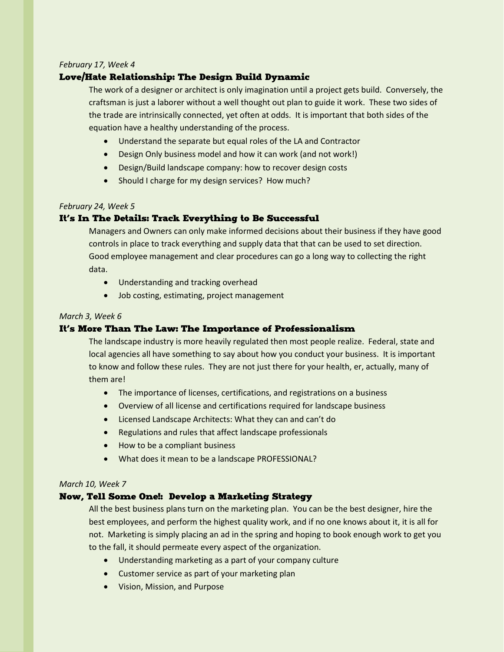#### *February 17, Week 4*

## Love/Hate Relationship: The Design Build Dynamic

The work of a designer or architect is only imagination until a project gets build. Conversely, the craftsman is just a laborer without a well thought out plan to guide it work. These two sides of the trade are intrinsically connected, yet often at odds. It is important that both sides of the equation have a healthy understanding of the process.

- Understand the separate but equal roles of the LA and Contractor
- Design Only business model and how it can work (and not work!)
- Design/Build landscape company: how to recover design costs
- Should I charge for my design services? How much?

#### *February 24, Week 5*

#### It's In The Details: Track Everything to Be Successful

Managers and Owners can only make informed decisions about their business if they have good controls in place to track everything and supply data that that can be used to set direction. Good employee management and clear procedures can go a long way to collecting the right data.

- Understanding and tracking overhead
- Job costing, estimating, project management

#### *March 3, Week 6*

## It's More Than The Law: The Importance of Professionalism

The landscape industry is more heavily regulated then most people realize. Federal, state and local agencies all have something to say about how you conduct your business. It is important to know and follow these rules. They are not just there for your health, er, actually, many of them are!

- The importance of licenses, certifications, and registrations on a business
- Overview of all license and certifications required for landscape business
- Licensed Landscape Architects: What they can and can't do
- Regulations and rules that affect landscape professionals
- How to be a compliant business
- What does it mean to be a landscape PROFESSIONAL?

#### *March 10, Week 7*

#### Now, Tell Some One!: Develop a Marketing Strategy

All the best business plans turn on the marketing plan. You can be the best designer, hire the best employees, and perform the highest quality work, and if no one knows about it, it is all for not. Marketing is simply placing an ad in the spring and hoping to book enough work to get you to the fall, it should permeate every aspect of the organization.

- Understanding marketing as a part of your company culture
- Customer service as part of your marketing plan
- Vision, Mission, and Purpose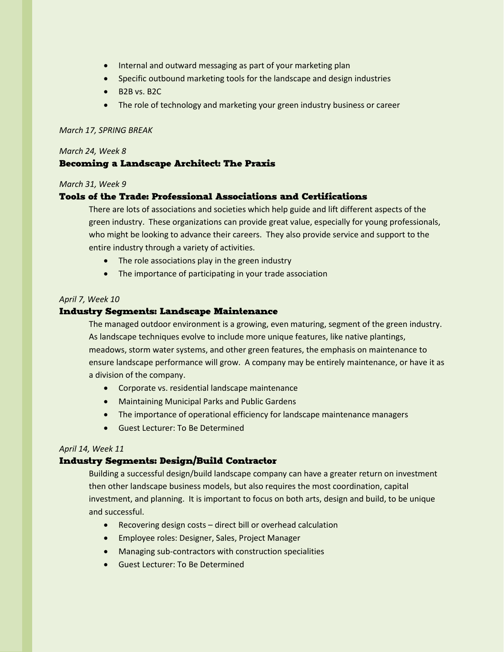- Internal and outward messaging as part of your marketing plan
- Specific outbound marketing tools for the landscape and design industries
- $-B2B vs. B2C$
- The role of technology and marketing your green industry business or career

#### *March 17, SPRING BREAK*

#### *March 24, Week 8*

## Becoming a Landscape Architect: The Praxis

#### *March 31, Week 9*

#### Tools of the Trade: Professional Associations and Certifications

There are lots of associations and societies which help guide and lift different aspects of the green industry. These organizations can provide great value, especially for young professionals, who might be looking to advance their careers. They also provide service and support to the entire industry through a variety of activities.

- The role associations play in the green industry
- The importance of participating in your trade association

#### *April 7, Week 10*

#### Industry Segments: Landscape Maintenance

The managed outdoor environment is a growing, even maturing, segment of the green industry. As landscape techniques evolve to include more unique features, like native plantings, meadows, storm water systems, and other green features, the emphasis on maintenance to ensure landscape performance will grow. A company may be entirely maintenance, or have it as a division of the company.

- Corporate vs. residential landscape maintenance
- Maintaining Municipal Parks and Public Gardens
- The importance of operational efficiency for landscape maintenance managers
- Guest Lecturer: To Be Determined

#### *April 14, Week 11*

#### Industry Segments: Design/Build Contractor

Building a successful design/build landscape company can have a greater return on investment then other landscape business models, but also requires the most coordination, capital investment, and planning. It is important to focus on both arts, design and build, to be unique and successful.

- Recovering design costs direct bill or overhead calculation
- Employee roles: Designer, Sales, Project Manager
- Managing sub-contractors with construction specialities
- Guest Lecturer: To Be Determined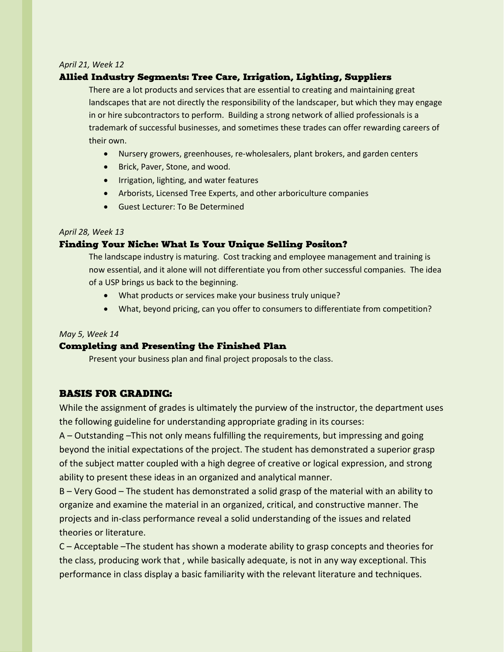#### *April 21, Week 12*

## Allied Industry Segments: Tree Care, Irrigation, Lighting, Suppliers

There are a lot products and services that are essential to creating and maintaining great landscapes that are not directly the responsibility of the landscaper, but which they may engage in or hire subcontractors to perform. Building a strong network of allied professionals is a trademark of successful businesses, and sometimes these trades can offer rewarding careers of their own.

- Nursery growers, greenhouses, re-wholesalers, plant brokers, and garden centers
- Brick, Paver, Stone, and wood.
- **•** Irrigation, lighting, and water features
- Arborists, Licensed Tree Experts, and other arboriculture companies
- Guest Lecturer: To Be Determined

#### *April 28, Week 13*

#### Finding Your Niche: What Is Your Unique Selling Positon?

The landscape industry is maturing. Cost tracking and employee management and training is now essential, and it alone will not differentiate you from other successful companies. The idea of a USP brings us back to the beginning.

- What products or services make your business truly unique?
- What, beyond pricing, can you offer to consumers to differentiate from competition?

#### *May 5, Week 14*

#### Completing and Presenting the Finished Plan

Present your business plan and final project proposals to the class.

## BASIS FOR GRADING:

While the assignment of grades is ultimately the purview of the instructor, the department uses the following guideline for understanding appropriate grading in its courses:

A – Outstanding –This not only means fulfilling the requirements, but impressing and going beyond the initial expectations of the project. The student has demonstrated a superior grasp of the subject matter coupled with a high degree of creative or logical expression, and strong ability to present these ideas in an organized and analytical manner.

B – Very Good – The student has demonstrated a solid grasp of the material with an ability to organize and examine the material in an organized, critical, and constructive manner. The projects and in‐class performance reveal a solid understanding of the issues and related theories or literature.

C – Acceptable –The student has shown a moderate ability to grasp concepts and theories for the class, producing work that , while basically adequate, is not in any way exceptional. This performance in class display a basic familiarity with the relevant literature and techniques.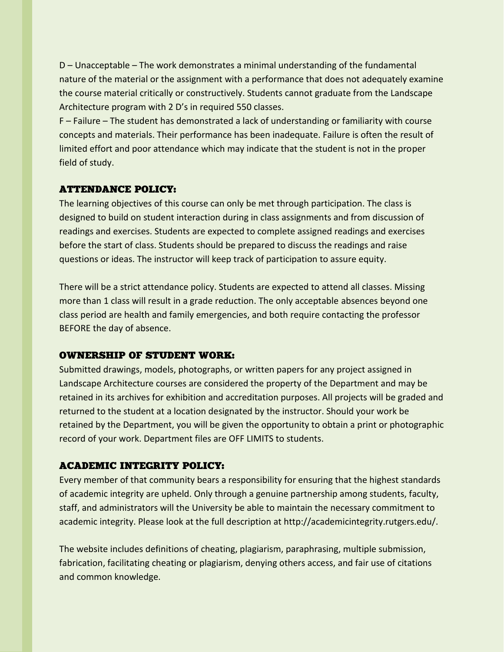D – Unacceptable – The work demonstrates a minimal understanding of the fundamental nature of the material or the assignment with a performance that does not adequately examine the course material critically or constructively. Students cannot graduate from the Landscape Architecture program with 2 D's in required 550 classes.

F – Failure – The student has demonstrated a lack of understanding or familiarity with course concepts and materials. Their performance has been inadequate. Failure is often the result of limited effort and poor attendance which may indicate that the student is not in the proper field of study.

## ATTENDANCE POLICY:

The learning objectives of this course can only be met through participation. The class is designed to build on student interaction during in class assignments and from discussion of readings and exercises. Students are expected to complete assigned readings and exercises before the start of class. Students should be prepared to discuss the readings and raise questions or ideas. The instructor will keep track of participation to assure equity.

There will be a strict attendance policy. Students are expected to attend all classes. Missing more than 1 class will result in a grade reduction. The only acceptable absences beyond one class period are health and family emergencies, and both require contacting the professor BEFORE the day of absence.

## OWNERSHIP OF STUDENT WORK:

Submitted drawings, models, photographs, or written papers for any project assigned in Landscape Architecture courses are considered the property of the Department and may be retained in its archives for exhibition and accreditation purposes. All projects will be graded and returned to the student at a location designated by the instructor. Should your work be retained by the Department, you will be given the opportunity to obtain a print or photographic record of your work. Department files are OFF LIMITS to students.

## ACADEMIC INTEGRITY POLICY:

Every member of that community bears a responsibility for ensuring that the highest standards of academic integrity are upheld. Only through a genuine partnership among students, faculty, staff, and administrators will the University be able to maintain the necessary commitment to academic integrity. Please look at the full description at http://academicintegrity.rutgers.edu/.

The website includes definitions of cheating, plagiarism, paraphrasing, multiple submission, fabrication, facilitating cheating or plagiarism, denying others access, and fair use of citations and common knowledge.